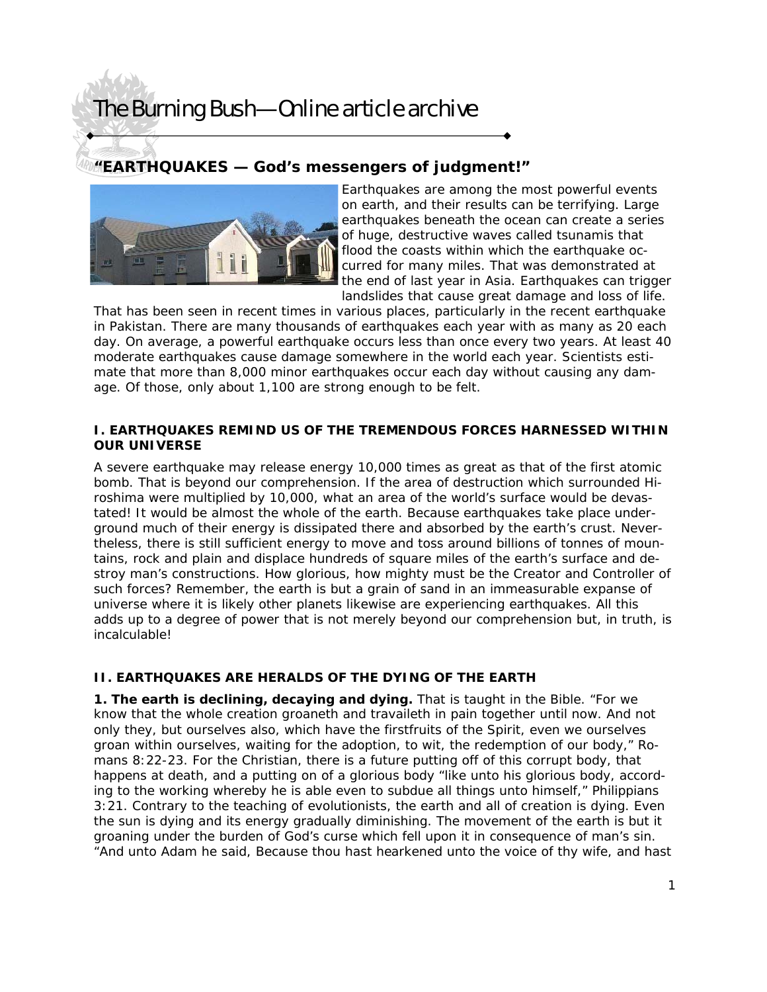### **"EARTHQUAKES — God's messengers of judgment!"**



Earthquakes are among the most powerful events on earth, and their results can be terrifying. Large earthquakes beneath the ocean can create a series of huge, destructive waves called tsunamis that flood the coasts within which the earthquake occurred for many miles. That was demonstrated at the end of last year in Asia. Earthquakes can trigger landslides that cause great damage and loss of life.

That has been seen in recent times in various places, particularly in the recent earthquake in Pakistan. There are many thousands of earthquakes each year with as many as 20 each day. On average, a powerful earthquake occurs less than once every two years. At least 40 moderate earthquakes cause damage somewhere in the world each year. Scientists estimate that more than 8,000 minor earthquakes occur each day without causing any damage. Of those, only about 1,100 are strong enough to be felt.

#### **I. EARTHQUAKES REMIND US OF THE TREMENDOUS FORCES HARNESSED WITHIN OUR UNIVERSE**

A severe earthquake may release energy 10,000 times as great as that of the first atomic bomb. That is beyond our comprehension. If the area of destruction which surrounded Hiroshima were multiplied by 10,000, what an area of the world's surface would be devastated! It would be almost the whole of the earth. Because earthquakes take place underground much of their energy is dissipated there and absorbed by the earth's crust. Nevertheless, there is still sufficient energy to move and toss around billions of tonnes of mountains, rock and plain and displace hundreds of square miles of the earth's surface and destroy man's constructions. How glorious, how mighty must be the Creator and Controller of such forces? Remember, the earth is but a grain of sand in an immeasurable expanse of universe where it is likely other planets likewise are experiencing earthquakes. All this adds up to a degree of power that is not merely beyond our comprehension but, in truth, is incalculable!

### **II. EARTHQUAKES ARE HERALDS OF THE DYING OF THE EARTH**

**1. The earth is declining, decaying and dying.** That is taught in the Bible. "For we know that the whole creation groaneth and travaileth in pain together until now. And not only they, but ourselves also, which have the firstfruits of the Spirit, even we ourselves groan within ourselves, waiting for the adoption, to wit, the redemption of our body," Romans 8:22-23. For the Christian, there is a future putting off of this corrupt body, that happens at death, and a putting on of a glorious body "like unto his glorious body, according to the working whereby he is able even to subdue all things unto himself," Philippians 3:21. Contrary to the teaching of evolutionists, the earth and all of creation is dying. Even the sun is dying and its energy gradually diminishing. The movement of the earth is but it groaning under the burden of God's curse which fell upon it in consequence of man's sin. "And unto Adam he said, Because thou hast hearkened unto the voice of thy wife, and hast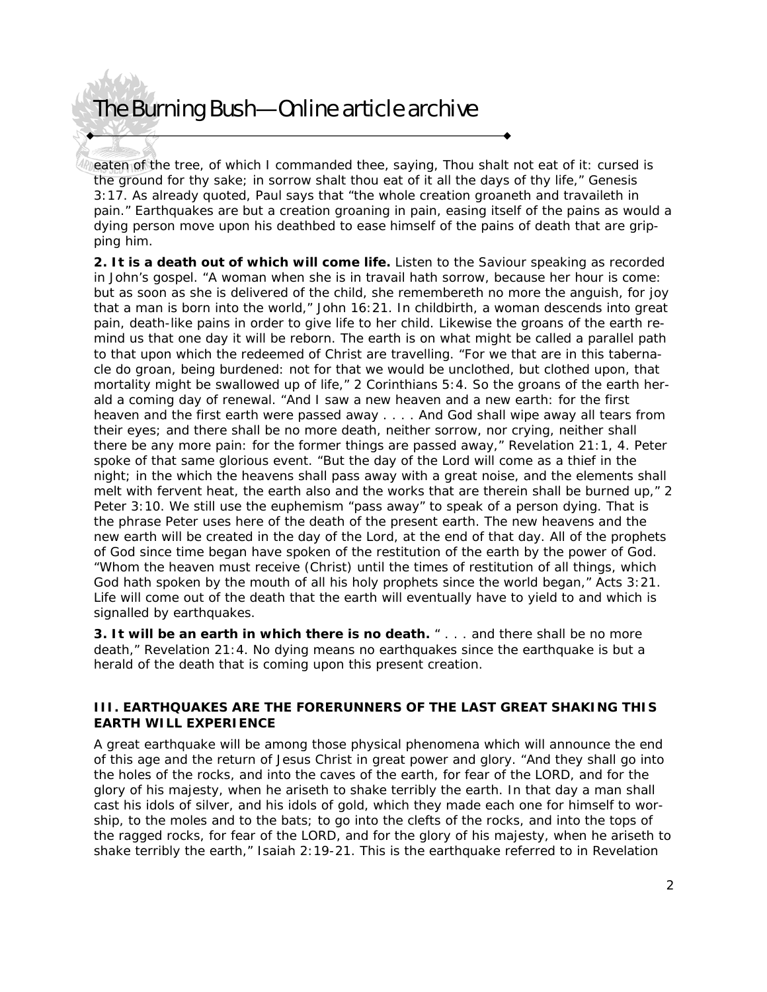eaten of the tree, of which I commanded thee, saying, Thou shalt not eat of it: cursed is the ground for thy sake; in sorrow shalt thou eat of it all the days of thy life," Genesis 3:17. As already quoted, Paul says that "the whole creation groaneth and travaileth in pain." Earthquakes are but a creation groaning in pain, easing itself of the pains as would a dying person move upon his deathbed to ease himself of the pains of death that are gripping him.

**2. It is a death out of which will come life.** Listen to the Saviour speaking as recorded in John's gospel. "A woman when she is in travail hath sorrow, because her hour is come: but as soon as she is delivered of the child, she remembereth no more the anguish, for joy that a man is born into the world," John 16:21. In childbirth, a woman descends into great pain, death-like pains in order to give life to her child. Likewise the groans of the earth remind us that one day it will be reborn. The earth is on what might be called a parallel path to that upon which the redeemed of Christ are travelling. "For we that are in this tabernacle do groan, being burdened: not for that we would be unclothed, but clothed upon, that mortality might be swallowed up of life," 2 Corinthians 5:4. So the groans of the earth herald a coming day of renewal. "And I saw a new heaven and a new earth: for the first heaven and the first earth were passed away . . . . And God shall wipe away all tears from their eyes; and there shall be no more death, neither sorrow, nor crying, neither shall there be any more pain: for the former things are passed away," Revelation 21:1, 4. Peter spoke of that same glorious event. "But the day of the Lord will come as a thief in the night; in the which the heavens shall pass away with a great noise, and the elements shall melt with fervent heat, the earth also and the works that are therein shall be burned up," 2 Peter 3:10. We still use the euphemism "pass away" to speak of a person dying. That is the phrase Peter uses here of the death of the present earth. The new heavens and the new earth will be created in the day of the Lord, at the end of that day. All of the prophets of God since time began have spoken of the restitution of the earth by the power of God. "Whom the heaven must receive (Christ) until the times of restitution of all things, which God hath spoken by the mouth of all his holy prophets since the world began," Acts 3:21. Life will come out of the death that the earth will eventually have to yield to and which is signalled by earthquakes.

**3. It will be an earth in which there is no death.** " . . . and there shall be no more death," Revelation 21:4. No dying means no earthquakes since the earthquake is but a herald of the death that is coming upon this present creation.

#### **III. EARTHQUAKES ARE THE FORERUNNERS OF THE LAST GREAT SHAKING THIS EARTH WILL EXPERIENCE**

A great earthquake will be among those physical phenomena which will announce the end of this age and the return of Jesus Christ in great power and glory. "And they shall go into the holes of the rocks, and into the caves of the earth, for fear of the LORD, and for the glory of his majesty, when he ariseth to shake terribly the earth. In that day a man shall cast his idols of silver, and his idols of gold, which they made each one for himself to worship, to the moles and to the bats; to go into the clefts of the rocks, and into the tops of the ragged rocks, for fear of the LORD, and for the glory of his majesty, when he ariseth to shake terribly the earth," Isaiah 2:19-21. This is the earthquake referred to in Revelation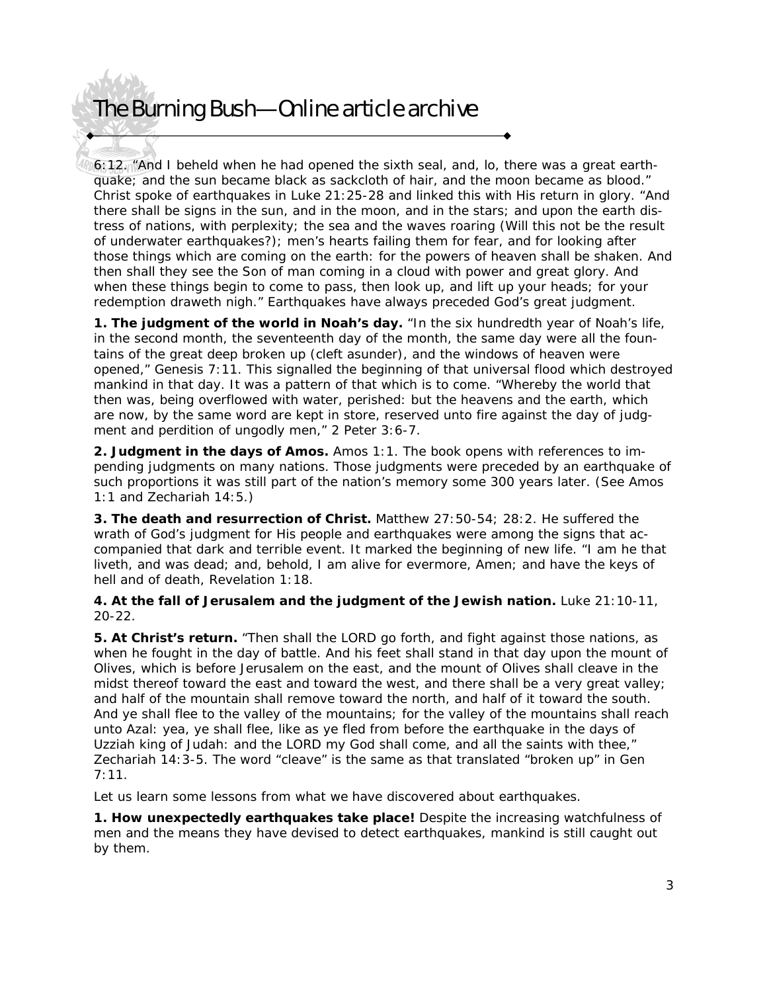6:12. "And I beheld when he had opened the sixth seal, and, lo, there was a great earthquake; and the sun became black as sackcloth of hair, and the moon became as blood." Christ spoke of earthquakes in Luke 21:25-28 and linked this with His return in glory. "And there shall be signs in the sun, and in the moon, and in the stars; and upon the earth distress of nations, with perplexity; the sea and the waves roaring (Will this not be the result of underwater earthquakes?); men's hearts failing them for fear, and for looking after those things which are coming on the earth: for the powers of heaven shall be shaken. And then shall they see the Son of man coming in a cloud with power and great glory. And when these things begin to come to pass, then look up, and lift up your heads; for your redemption draweth nigh." Earthquakes have always preceded God's great judgment.

**1. The judgment of the world in Noah's day.** "In the six hundredth year of Noah's life, in the second month, the seventeenth day of the month, the same day were all the fountains of the great deep broken up (cleft asunder), and the windows of heaven were opened," Genesis 7:11. This signalled the beginning of that universal flood which destroyed mankind in that day. It was a pattern of that which is to come. "Whereby the world that then was, being overflowed with water, perished: but the heavens and the earth, which are now, by the same word are kept in store, reserved unto fire against the day of judgment and perdition of ungodly men," 2 Peter 3:6-7.

**2. Judgment in the days of Amos.** Amos 1:1. The book opens with references to impending judgments on many nations. Those judgments were preceded by an earthquake of such proportions it was still part of the nation's memory some 300 years later. (See Amos 1:1 and Zechariah 14:5.)

**3. The death and resurrection of Christ.** Matthew 27:50-54; 28:2. He suffered the wrath of God's judgment for His people and earthquakes were among the signs that accompanied that dark and terrible event. It marked the beginning of new life. "I am he that liveth, and was dead; and, behold, I am alive for evermore, Amen; and have the keys of hell and of death, Revelation 1:18.

**4. At the fall of Jerusalem and the judgment of the Jewish nation.** Luke 21:10-11, 20-22.

**5. At Christ's return.** "Then shall the LORD go forth, and fight against those nations, as when he fought in the day of battle. And his feet shall stand in that day upon the mount of Olives, which is before Jerusalem on the east, and the mount of Olives shall cleave in the midst thereof toward the east and toward the west, and there shall be a very great valley; and half of the mountain shall remove toward the north, and half of it toward the south. And ye shall flee to the valley of the mountains; for the valley of the mountains shall reach unto Azal: yea, ye shall flee, like as ye fled from before the earthquake in the days of Uzziah king of Judah: and the LORD my God shall come, and all the saints with thee," Zechariah 14:3-5. The word "cleave" is the same as that translated "broken up" in Gen 7:11.

Let us learn some lessons from what we have discovered about earthquakes.

**1. How unexpectedly earthquakes take place!** Despite the increasing watchfulness of men and the means they have devised to detect earthquakes, mankind is still caught out by them.